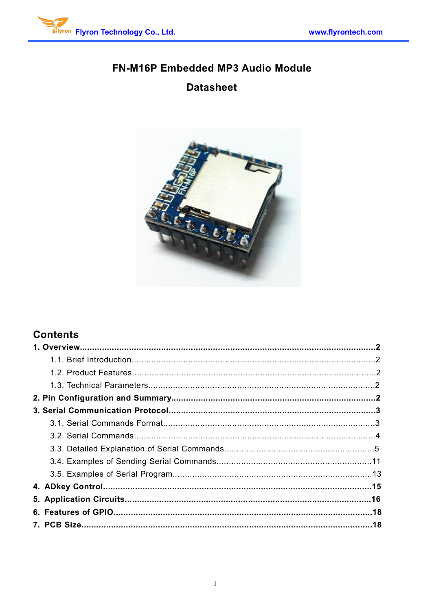

# FN-M16P Embedded MP3 Audio Module **Datasheet**



# **Contents**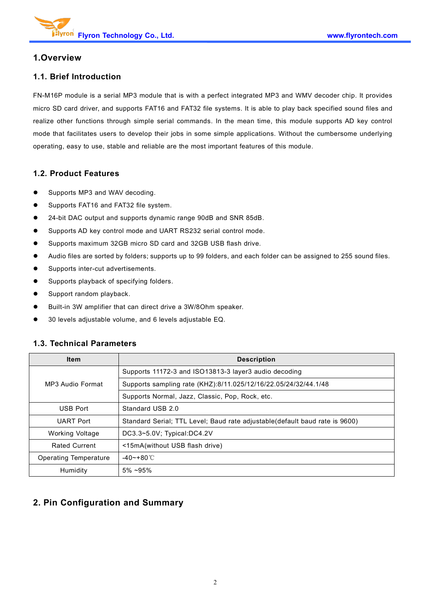## **1.Overview**

#### **1.1. Brief Introduction**

FN-M16P module isa serial MP3 module that is with a perfect integrated MP3 and WMV decoder chip. It provides micro SD card driver, and supports FAT16 and FAT32 file systems. It is able to play back specified sound files and realize other functions through simple serial commands. In the mean time, this module supports AD key control mode that facilitates users to develop their jobs in some simple applications. Without the cumbersome underlying operating, easy to use, stable and reliable are the most important features of this module.

#### **1.2. Product Features**

- Supports MP3 and WAV decoding.
- **•** Supports FAT16 and FAT32 file system.
- 24-bit DAC output and supports dynamic range 90dB and SNR 85dB.
- Supports AD key control mode and UART RS232 serial control mode.
- Supports maximum 32GB micro SD card and 32GB USB flash drive.
- Audio files are sorted by folders; supports up to 99 folders, and each folder can be assigned to 255 sound files.
- Supports inter-cut advertisements.
- Supports playback of specifying folders.
- Support random playback.
- Built-in 3W amplifier that can direct drive a 3W/8Ohm speaker.
- 30 levels adjustable volume, and 6 levels adjustable EQ.

#### **1.3. Technical Parameters**

| <b>Item</b>                  | <b>Description</b>                                                          |
|------------------------------|-----------------------------------------------------------------------------|
|                              | Supports 11172-3 and ISO13813-3 layer3 audio decoding                       |
| MP3 Audio Format             | Supports sampling rate (KHZ):8/11.025/12/16/22.05/24/32/44.1/48             |
|                              | Supports Normal, Jazz, Classic, Pop, Rock, etc.                             |
| <b>USB Port</b>              | Standard USB 2.0                                                            |
| <b>UART Port</b>             | Standard Serial; TTL Level; Baud rate adjustable(default baud rate is 9600) |
| <b>Working Voltage</b>       | DC3.3~5.0V; Typical:DC4.2V                                                  |
| <b>Rated Current</b>         | <15mA(without USB flash drive)                                              |
| <b>Operating Temperature</b> | $-40$ ~+80 °C                                                               |
| Humidity                     | $5\% \sim 95\%$                                                             |

# **2. Pin Configuration and Summary**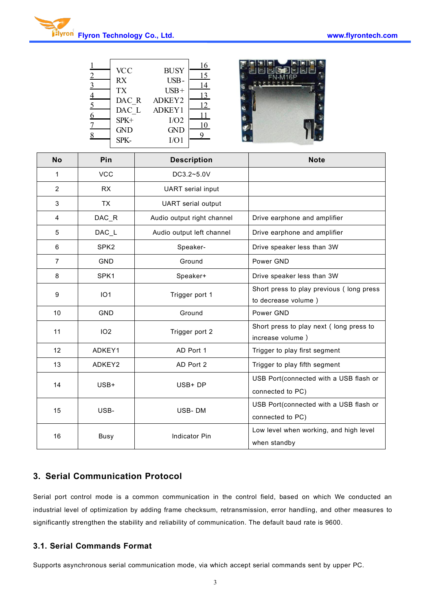|                         | <b>VCC</b><br>$\overline{2}$<br>RX<br>$\overline{3}$<br><b>TX</b><br>$\overline{4}$<br>DAC R<br>$\overline{5}$<br>DAC L<br>6<br>SPK+<br>$\overline{1}$<br><b>GND</b><br>8<br>SPK- | 16<br><b>BUSY</b><br>15<br>USB-<br>14<br>$USB+$<br>13<br>ADKEY2<br>12<br>ë<br>ADKEY1<br>11<br>I/O2<br>10<br><b>GND</b><br>9<br>I/O1 |                                                                 |
|-------------------------|-----------------------------------------------------------------------------------------------------------------------------------------------------------------------------------|-------------------------------------------------------------------------------------------------------------------------------------|-----------------------------------------------------------------|
| <b>No</b>               | Pin                                                                                                                                                                               | <b>Description</b>                                                                                                                  | <b>Note</b>                                                     |
| $\mathbf{1}$            | <b>VCC</b>                                                                                                                                                                        | DC3.2~5.0V                                                                                                                          |                                                                 |
| $\overline{2}$          | <b>RX</b>                                                                                                                                                                         | <b>UART</b> serial input                                                                                                            |                                                                 |
| $\mathbf{3}$            | TX                                                                                                                                                                                | <b>UART</b> serial output                                                                                                           |                                                                 |
| $\overline{\mathbf{4}}$ | DAC_R                                                                                                                                                                             | Audio output right channel                                                                                                          | Drive earphone and amplifier                                    |
| 5                       | DAC_L                                                                                                                                                                             | Audio output left channel                                                                                                           | Drive earphone and amplifier                                    |
| 6                       | SPK <sub>2</sub>                                                                                                                                                                  | Speaker-                                                                                                                            | Drive speaker less than 3W                                      |
| $\overline{7}$          | <b>GND</b>                                                                                                                                                                        | Ground                                                                                                                              | Power GND                                                       |
| 8                       | SPK1                                                                                                                                                                              | Speaker+                                                                                                                            | Drive speaker less than 3W                                      |
| 9                       | IO <sub>1</sub>                                                                                                                                                                   | Trigger port 1                                                                                                                      | Short press to play previous (long press<br>to decrease volume) |
| 10                      | <b>GND</b>                                                                                                                                                                        | Ground                                                                                                                              | Power GND                                                       |
| 11                      | IO <sub>2</sub>                                                                                                                                                                   | Trigger port 2                                                                                                                      | Short press to play next (long press to<br>increase volume)     |
| 12                      | ADKEY1                                                                                                                                                                            | AD Port 1                                                                                                                           | Trigger to play first segment                                   |
| 13                      | ADKEY2                                                                                                                                                                            | AD Port 2                                                                                                                           | Trigger to play fifth segment                                   |
| 14                      | USB+                                                                                                                                                                              | USB+ DP                                                                                                                             | USB Port(connected with a USB flash or<br>connected to PC)      |
| 15                      | USB-                                                                                                                                                                              | USB-DM                                                                                                                              | USB Port(connected with a USB flash or<br>connected to PC)      |
| 16                      | Busy                                                                                                                                                                              | Indicator Pin                                                                                                                       | Low level when working, and high level<br>when standby          |

### **3. Serial Communication Protocol**

Serial port control mode is a common communication in the control field, based on which We conducted an industrial level of optimization by adding frame checksum, retransmission, error handling, and other measures to significantly strengthen the stability and reliability of communication. The default baud rate is 9600.

#### **3.1. Serial Commands Format**

Supports asynchronous serial communication mode, via which accept serial commands sent by upper PC.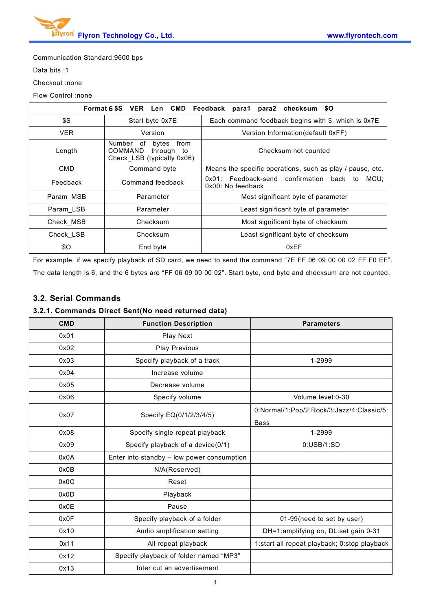

Communication Standard:9600 bps

Data bits :1

Checkout :none

#### Flow Control :none

| Format 6\$S VER Len CMD Feedback para1 para2 checksum \$O |                                                                                      |                                                                       |
|-----------------------------------------------------------|--------------------------------------------------------------------------------------|-----------------------------------------------------------------------|
| \$S                                                       | Start byte 0x7E                                                                      | Each command feedback begins with \$, which is 0x7E                   |
| <b>VER</b>                                                | Version                                                                              | Version Information (default 0xFF)                                    |
| Length                                                    | Number<br>from<br>of<br>bytes<br>COMMAND<br>through to<br>Check LSB (typically 0x06) | Checksum not counted                                                  |
| <b>CMD</b>                                                | Command byte                                                                         | Means the specific operations, such as play / pause, etc.             |
| Feedback                                                  | Command feedback                                                                     | 0x01: Feedback-send confirmation back to<br>MCU:<br>0x00: No feedback |
| Param MSB                                                 | Parameter                                                                            | Most significant byte of parameter                                    |
| Param LSB                                                 | Parameter                                                                            | Least significant byte of parameter                                   |
| Check MSB                                                 | Checksum                                                                             | Most significant byte of checksum                                     |
| Check LSB                                                 | Checksum                                                                             | Least significant byte of checksum                                    |
| \$0                                                       | End byte                                                                             | 0xEF                                                                  |

For example, if we specify playback of SD card, we need to send the command "7E FF 06 09 00 00 02 FF F0 EF". The data length is 6, and the 6 bytes are "FF 06 09 00 00 02". Start byte, end byte and checksum are not counted.

#### **3.2. Serial Commands**

#### **3.2.1. Commands Direct Sent(No need returned data)**

| <b>CMD</b> | <b>Function Description</b>                | <b>Parameters</b>                            |
|------------|--------------------------------------------|----------------------------------------------|
| 0x01       | Play Next                                  |                                              |
| 0x02       | <b>Play Previous</b>                       |                                              |
| 0x03       | Specify playback of a track                | 1-2999                                       |
| 0x04       | Increase volume                            |                                              |
| 0x05       | Decrease volume                            |                                              |
| 0x06       | Specify volume                             | Volume level: 0-30                           |
| 0x07       | Specify EQ(0/1/2/3/4/5)                    | 0:Normal/1:Pop/2:Rock/3:Jazz/4:Classic/5:    |
|            |                                            | Bass                                         |
| 0x08       | Specify single repeat playback             | 1-2999                                       |
| 0x09       | Specify playback of a device(0/1)          | 0:USB/1:SD                                   |
| 0x0A       | Enter into standby - low power consumption |                                              |
| 0x0B       | N/A(Reserved)                              |                                              |
| 0x0C       | Reset                                      |                                              |
| 0x0D       | Playback                                   |                                              |
| 0x0E       | Pause                                      |                                              |
| 0x0F       | Specify playback of a folder               | 01-99(need to set by user)                   |
| 0x10       | Audio amplification setting                | DH=1:amplifying on, DL:set gain 0-31         |
| 0x11       | All repeat playback                        | 1:start all repeat playback; 0:stop playback |
| 0x12       | Specify playback of folder named "MP3"     |                                              |
| 0x13       | Inter cut an advertisement                 |                                              |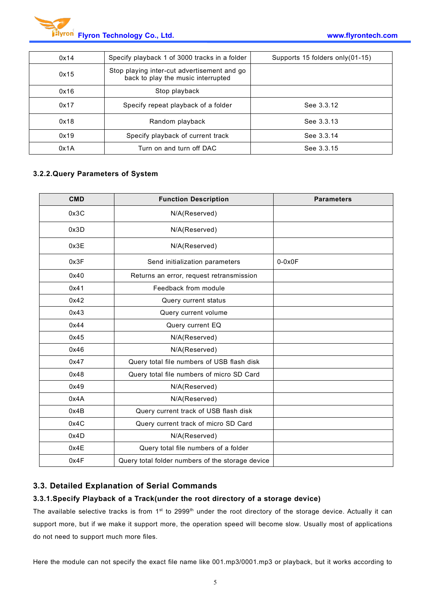

| 0x14 | Specify playback 1 of 3000 tracks in a folder                                     | Supports 15 folders only (01-15) |
|------|-----------------------------------------------------------------------------------|----------------------------------|
| 0x15 | Stop playing inter-cut advertisement and go<br>back to play the music interrupted |                                  |
| 0x16 | Stop playback                                                                     |                                  |
| 0x17 | Specify repeat playback of a folder                                               | See 3.3.12                       |
| 0x18 | Random playback                                                                   | See 3.3.13                       |
| 0x19 | Specify playback of current track                                                 | See 3.3.14                       |
| 0x1A | Turn on and turn off DAC                                                          | See 3.3.15                       |

#### **3.2.2.Query Parameters of System**

| <b>CMD</b> | <b>Function Description</b>                      | <b>Parameters</b> |
|------------|--------------------------------------------------|-------------------|
| 0x3C       | N/A(Reserved)                                    |                   |
| 0x3D       | N/A(Reserved)                                    |                   |
| 0x3E       | N/A(Reserved)                                    |                   |
| 0x3F       | Send initialization parameters                   | $0-0x0F$          |
| 0x40       | Returns an error, request retransmission         |                   |
| 0x41       | Feedback from module                             |                   |
| 0x42       | Query current status                             |                   |
| 0x43       | Query current volume                             |                   |
| 0x44       | Query current EQ                                 |                   |
| 0x45       | N/A(Reserved)                                    |                   |
| 0x46       | N/A(Reserved)                                    |                   |
| 0x47       | Query total file numbers of USB flash disk       |                   |
| 0x48       | Query total file numbers of micro SD Card        |                   |
| 0x49       | N/A(Reserved)                                    |                   |
| 0x4A       | N/A(Reserved)                                    |                   |
| 0x4B       | Query current track of USB flash disk            |                   |
| 0x4C       | Query current track of micro SD Card             |                   |
| 0x4D       | N/A(Reserved)                                    |                   |
| 0x4E       | Query total file numbers of a folder             |                   |
| 0x4F       | Query total folder numbers of the storage device |                   |

#### **3.3. Detailed Explanation of Serial Commands**

#### **3.3.1.Specify Playback of a Track(under the root directory of a storage device)**

The available selective tracks is from 1<sup>st</sup> to 2999<sup>th</sup> under the root directory of the storage device. Actually it can support more, but if we make it support more, the operation speed will become slow. Usually most of applications do not need to support much more files.

Here the module can not specify the exact file name like 001.mp3/0001.mp3 or playback, but it works according to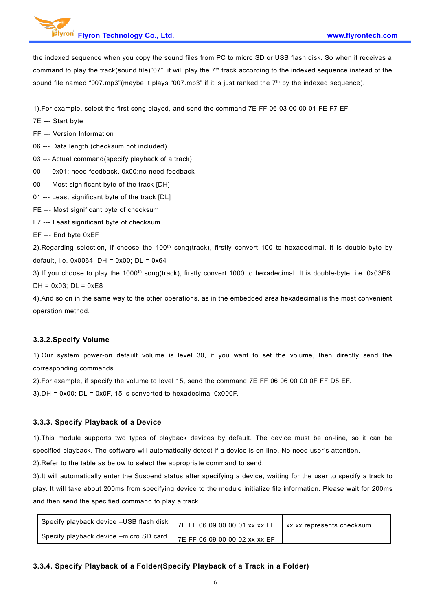the indexed sequence when you copy the sound files from PC to micro SD or USB flash disk. So when it receives a command to play the track(sound file)"07", it will play the 7<sup>th</sup> track according to the indexed sequence instead of the sound file named "007.mp3"(maybe it plays "007.mp3" if it is just ranked the 7 th by the indexed sequence).

1).For example, select the first song played, and send the command 7E FF 06 03 00 00 01 FE F7 EF

- 7E --- Start byte
- FF --- Version Information

06 --- Data length (checksum not included)

- 03 --- Actual command(specify playback of a track)
- 00 --- 0x01: need feedback, 0x00:no need feedback
- 00 --- Most significant byte of the track [DH]
- 01 --- Least significant byte of the track [DL]
- FE --- Most significant byte of checksum
- F7 --- Least significant byte of checksum
- EF --- End byte 0xEF

2). Regarding selection, if choose the  $100<sup>th</sup>$  song(track), firstly convert 100 to hexadecimal. It is double-byte by default, i.e. 0x0064. DH = 0x00; DL = 0x64

3).If you choose to play the 1000<sup>th</sup> song(track), firstly convert 1000 to hexadecimal. It is double-byte, i.e. 0x03E8.  $DH = 0x03$ ;  $DL = 0xE8$ 

4).And so on in the same way to the other operations, as in the embedded area hexadecimalis the most convenient operation method.

#### **3.3.2.Specify Volume**

1).Our system power-on default volume is level 30, if you want to set the volume, then directly send the corresponding commands.

2).For example, if specify the volume to level 15, send the command 7E FF 06 06 00 00 0F FF D5 EF.

 $3$ ).DH = 0x00; DL = 0x0F, 15 is converted to hexadecimal 0x000F.

#### **3.3.3. Specify Playback of a Device**

1).This module supports two types of playback devices by default. The device must be on-line, so it can be specified playback. The software will automatically detect if a device is on-line. No need user's attention.

2).Refer to the table as below to select the appropriate command to send.

3).It will automatically enter the Suspend status after specifying a device, waiting for the user to specify a track to play. It will take about 200ms from specifying device to the module initialize file information. Please wait for 200ms and then send the specified command to play a track.

| Specify playback device -USB flash disk | 7E FF 06 09 00 00 01 xx xx EF | xx xx represents checksum |
|-----------------------------------------|-------------------------------|---------------------------|
| Specify playback device -micro SD card  | 7E FF 06 09 00 00 02 xx xx EF |                           |

#### **3.3.4. Specify Playback of a Folder(Specify Playback of a Track in a Folder)**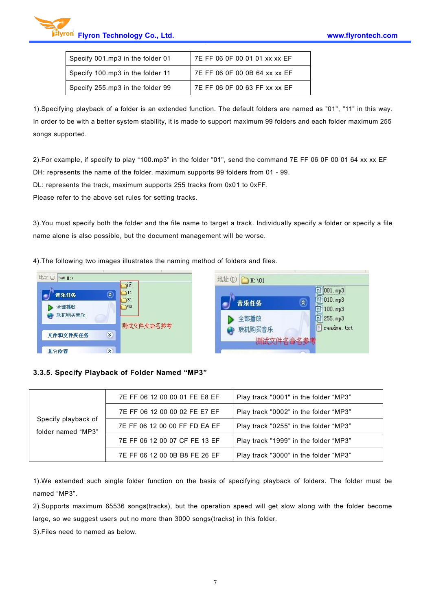

| Specify 001.mp3 in the folder 01 | 7E FF 06 0F 00 01 01 xx xx EF |
|----------------------------------|-------------------------------|
| Specify 100.mp3 in the folder 11 | 7E FF 06 0F 00 0B 64 xx xx EF |
| Specify 255.mp3 in the folder 99 | 7E FF 06 0F 00 63 FF xx xx EF |

1).Specifying playback of a folder is an extended function. The default folders are named as "01", "11" in this way. In order to be with a better system stability, it is made to support maximum 99 folders and each folder maximum 255 songs supported.

2).For example, if specify to play "100.mp3" in the folder "01", send the command 7E FF 06 0F 00 01 64 xx xx EF DH: represents the name of the folder, maximum supports 99 folders from 01 - 99.

DL: represents the track, maximum supports 255 tracks from 0x01 to 0xFF.

Please refer to the above set rules for setting tracks.

3).You must specify both the folder and the file name to target a track. Individually specify a folder or specify a file name alone is also possible, but the document management will be worse.

4).The following two images illustrates the naming method of folders and files.



#### **3.3.5. Specify Playback of Folder Named "MP3"**

|                                           | 7E FF 06 12 00 00 01 FE E8 EF | Play track "0001" in the folder "MP3" |
|-------------------------------------------|-------------------------------|---------------------------------------|
|                                           | 7E FF 06 12 00 00 02 FE E7 EF | Play track "0002" in the folder "MP3" |
| Specify playback of<br>folder named "MP3" | 7E FF 06 12 00 00 FF FD EA EF | Play track "0255" in the folder "MP3" |
|                                           | 7E FF 06 12 00 07 CF FE 13 EF | Play track "1999" in the folder "MP3" |
|                                           | 7E FF 06 12 00 0B B8 FE 26 EF | Play track "3000" in the folder "MP3" |

1).We extended such single folder function on the basis of specifying playback of folders. The folder must be named "MP3".

2).Supports maximum 65536 songs(tracks), but the operation speed will get slow along with the folder become large, so we suggest users put no more than 3000 songs(tracks) in this folder.

3).Files need to named as below.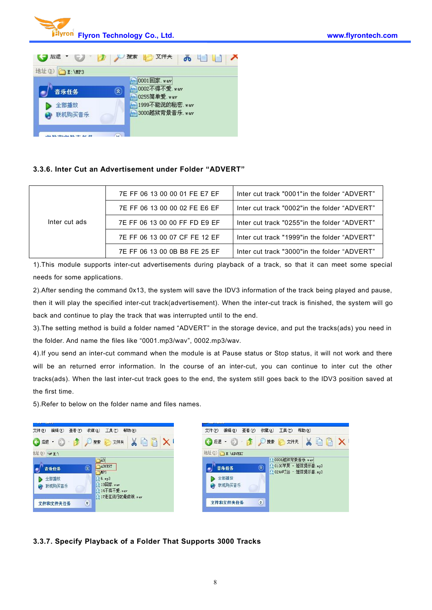



#### **3.3.6. Inter Cut an Advertisement under Folder "ADVERT"**

|               | 7E FF 06 13 00 00 01 FE E7 EF | lnter cut track "0001" in the folder "ADVERT" |
|---------------|-------------------------------|-----------------------------------------------|
|               | 7E FF 06 13 00 00 02 FE E6 EF | lnter cut track "0002"in the folder "ADVERT"  |
| Inter cut ads | 7E FF 06 13 00 00 FF FD E9 EF | lnter cut track "0255" in the folder "ADVERT" |
|               | 7E FF 06 13 00 07 CF FE 12 EF | lnter cut track "1999" in the folder "ADVERT" |
|               | 7E FF 06 13 00 0B B8 FE 25 EF | Inter cut track "3000" in the folder "ADVERT" |

1).This module supports inter-cut advertisements during playback of a track, so that it can meet some special needs for some applications.

2).After sending the command 0x13, the system will save the IDV3 information of the track being played and pause, then it will play the specified inter-cut track(advertisement). When the inter-cut track is finished, the system will go back and continue to play the track that was interrupted until to the end.

3).The setting method isbuild a folder named "ADVERT" in the storage device, and put the tracks(ads) you need in the folder. And name the files like "0001.mp3/wav", 0002.mp3/wav.

4). If you send an inter-cut command when the module is at Pause status or Stop status, it will not work and there will be an returned error information. In the course of an inter-cut, you can continue to inter cut the other tracks(ads). When the last inter-cut track goes to the end, the system still goes back to the IDV3 position saved at the first time.

5).Refer to below on the folder name and files names.



#### **3.3.7. Specify Playback of a Folder That Supports 3000 Tracks**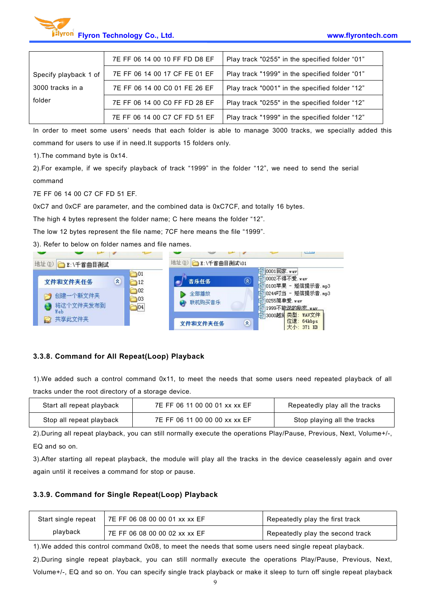

|                       | 7E FF 06 14 00 10 FF FD D8 EF | Play track "0255" in the specified folder "01" |
|-----------------------|-------------------------------|------------------------------------------------|
| Specify playback 1 of | 7E FF 06 14 00 17 CF FE 01 EF | Play track "1999" in the specified folder "01" |
| 3000 tracks in a      | 7E FF 06 14 00 C0 01 FE 26 EF | Play track "0001" in the specified folder "12" |
| folder                | 7E FF 06 14 00 C0 FF FD 28 EF | Play track "0255" in the specified folder "12" |
|                       | 7E FF 06 14 00 C7 CF FD 51 EF | Play track "1999" in the specified folder "12" |

In order to meet some users' needs that each folder is able to manage 3000 tracks, we specially added this command for users to use if in need.It supports 15 folders only.

1).The command byte is 0x14.

2).For example, if we specify playback of track "1999" in the folder "12", we need to send the serial command

7E FF 06 14 00 C7 CF FD 51 EF.

0xC7 and 0xCF are parameter, and the combined data is 0xC7CF, and totally 16 bytes.

The high 4 bytes represent the folder name; C here means the folder "12".

The low 12 bytes represent the file name; 7CF here means the file "1999".

3). Refer to below on folder names and file names.



#### **3.3.8. Command for All Repeat(Loop) Playback**

1).We added such a control command 0x11, to meet the needs that some users need repeated playback of all tracks under the root directory of a storage device.

| Start all repeat playback | 7E FF 06 11 00 00 01 xx xx EF | Repeatedly play all the tracks |
|---------------------------|-------------------------------|--------------------------------|
| Stop all repeat playback  | 7E FF 06 11 00 00 00 xx xx EF | Stop playing all the tracks    |

2).During all repeat playback, you can still normally execute the operations Play/Pause, Previous, Next, Volume+/-, EQ and so on.

3).After starting all repeat playback, the module will play all the tracks in the device ceaselessly again and over again until it receives a command for stop or pause.

#### **3.3.9. Command for Single Repeat(Loop) Playback**

| Start single repeat | 7E FF 06 08 00 00 01 xx xx EF | Repeatedly play the first track  |
|---------------------|-------------------------------|----------------------------------|
| playback            | 7E FF 06 08 00 00 02 xx xx EF | Repeatedly play the second track |

1). We added this control command 0x08, to meet the needs that some users need single repeat playback.

2).During single repeat playback, you can still normally execute the operations Play/Pause, Previous, Next, Volume+/-, EQ and so on. You can specify single track playback or make it sleep to turn off single repeat playback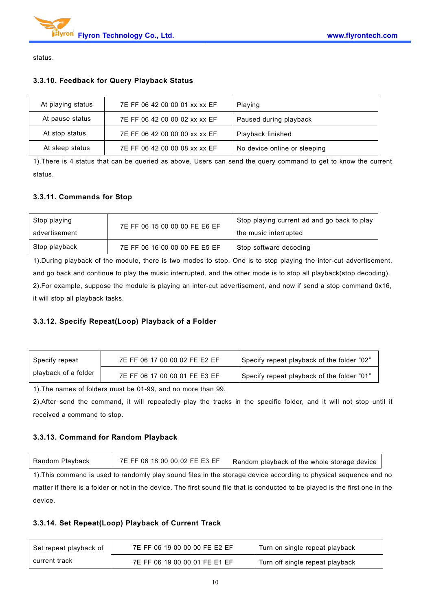

status.

#### **3.3.10. Feedback for Query Playback Status**

| At playing status | 7E FF 06 42 00 00 01 xx xx EF | Playing                      |
|-------------------|-------------------------------|------------------------------|
| At pause status   | 7E FF 06 42 00 00 02 xx xx EF | Paused during playback       |
| At stop status    | 7E FF 06 42 00 00 00 xx xx EF | Playback finished            |
| At sleep status   | 7E FF 06 42 00 00 08 xx xx EF | No device online or sleeping |

1).There is 4 status that can be queried as above. Users can send the query command to get to know the current status.

#### **3.3.11. Commands for Stop**

| Stop playing  | 7E FF 06 15 00 00 00 FE E6 EF | Stop playing current ad and go back to play |
|---------------|-------------------------------|---------------------------------------------|
| advertisement |                               | the music interrupted                       |
| Stop playback | 7E FF 06 16 00 00 00 FE E5 EF | Stop software decoding                      |

1).During playback of the module, there is two modes to stop. One is to stop playing the inter-cut advertisement, and go back and continue to play the music interrupted, and the other mode is to stop all playback(stop decoding). 2).For example, suppose the module is playing an inter-cut advertisement, and now if send a stop command 0x16, it will stop all playback tasks.

#### **3.3.12. Specify Repeat(Loop) Playback of a Folder**

| Specify repeat       | 7E FF 06 17 00 00 02 FE E2 EF | Specify repeat playback of the folder "02" |
|----------------------|-------------------------------|--------------------------------------------|
| playback of a folder | 7E FF 06 17 00 00 01 FE E3 EF | Specify repeat playback of the folder "01" |

1).The names of folders must be 01-99, and no more than 99.

2).After send the command, it will repeatedly play the tracks in the specific folder, and it will not stop until it received a command to stop.

#### **3.3.13. Command for Random Playback**

| 3 18 00 00 02 FE E3 EF<br>7F FF 06<br>Playback<br>Random<br>Random playback of the whole storage device |
|---------------------------------------------------------------------------------------------------------|
|---------------------------------------------------------------------------------------------------------|

1). This command is used to randomly play sound files in the storage device according to physical sequence and no matter if there is a folder or not in the device. The first sound file that is conducted to be played is the first one in the device.

#### **3.3.14. Set Repeat(Loop) Playback of Current Track**

| Set repeat playback of | 7E FF 06 19 00 00 00 FE E2 EF | Turn on single repeat playback  |
|------------------------|-------------------------------|---------------------------------|
| current track          | 7E FF 06 19 00 00 01 FE E1 EF | Turn off single repeat playback |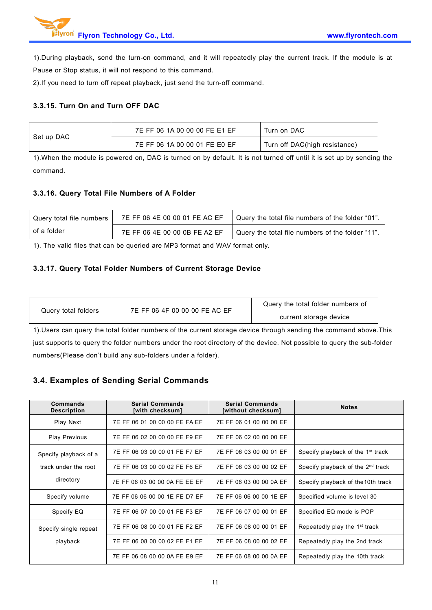1).During playback, send the turn-on command, and it will repeatedly play the current track. If the module is at Pause or Stop status, it will not respond to this command.

2).If you need to turn off repeat playback, just send the turn-off command.

#### **3.3.15. Turn On and Turn OFF DAC**

|            | 7E FF 06 1A 00 00 00 FE E1 EF | Turn on DAC                   |
|------------|-------------------------------|-------------------------------|
| Set up DAC | 7E FF 06 1A 00 00 01 FE E0 EF | Turn off DAC(high resistance) |

1). When the module is powered on, DAC is turned on by default. It is not turned off until it is set up by sending the command.

#### **3.3.16. Query Total File Numbers of A Folder**

| Query total file numbers | 7E FF 06 4E 00 00 01 FE AC EF | Query the total file numbers of the folder "01". |
|--------------------------|-------------------------------|--------------------------------------------------|
| of a folder              | 7E FF 06 4E 00 00 0B FE A2 EF | Query the total file numbers of the folder "11". |

1). The valid files that can be queried are MP3 format and WAV format only.

#### **3.3.17. Query Total Folder Numbers of Current Storage Device**

| Query total folders | 7E FF 06 4F 00 00 00 FE AC EF | Query the total folder numbers of |  |
|---------------------|-------------------------------|-----------------------------------|--|
|                     |                               | current storage device            |  |

1).Users can query the total folder numbers of the current storage device through sending the command above.This just supports to query the folder numbers under the root directory of the device. Not possible to query the sub-folder numbers(Please don't build any sub-folders under a folder).

### **3.4. Examples of Sending Serial Commands**

| Commands<br><b>Description</b> | <b>Serial Commands</b><br>[with checksum] | <b>Serial Commands</b><br>[without checksum] | <b>Notes</b>                                  |
|--------------------------------|-------------------------------------------|----------------------------------------------|-----------------------------------------------|
| Play Next                      | 7E FF 06 01 00 00 00 FE FA EF             | 7E FF 06 01 00 00 00 EF                      |                                               |
| <b>Play Previous</b>           | 7E FF 06 02 00 00 00 FE F9 EF             | 7E FF 06 02 00 00 00 EF                      |                                               |
| Specify playback of a          | 7E FF 06 03 00 00 01 FE F7 EF             | 7E FF 06 03 00 00 01 EF                      | Specify playback of the 1 <sup>st</sup> track |
| track under the root           | 7E FF 06 03 00 00 02 FE F6 EF             | 7E FF 06 03 00 00 02 EF                      | Specify playback of the 2 <sup>nd</sup> track |
| directory                      | 7E FF 06 03 00 00 0A FE EE EF             | 7E FF 06 03 00 00 0A EF                      | Specify playback of the 10th track            |
| Specify volume                 | 7E FF 06 06 00 00 1E FE D7 EF             | 7E FF 06 06 00 00 1E EF                      | Specified volume is level 30                  |
| Specify EQ                     | 7E FF 06 07 00 00 01 FE F3 EF             | 7E FF 06 07 00 00 01 EF                      | Specified EQ mode is POP                      |
| Specify single repeat          | 7E FF 06 08 00 00 01 FE F2 EF             | 7E FF 06 08 00 00 01 EF                      | Repeatedly play the 1 <sup>st</sup> track     |
| playback                       | 7E FF 06 08 00 00 02 FE F1 EF             | 7E FF 06 08 00 00 02 EF                      | Repeatedly play the 2nd track                 |
|                                | 7E FF 06 08 00 00 0A FE E9 EF             | 7E FF 06 08 00 00 0A EF                      | Repeatedly play the 10th track                |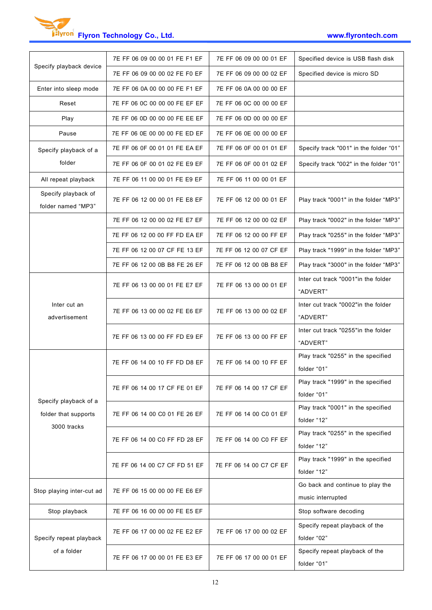| Specify playback device                       | 7E FF 06 09 00 00 01 FE F1 EF | 7E FF 06 09 00 00 01 EF | Specified device is USB flash disk                    |
|-----------------------------------------------|-------------------------------|-------------------------|-------------------------------------------------------|
|                                               | 7E FF 06 09 00 00 02 FE F0 EF | 7E FF 06 09 00 00 02 EF | Specified device is micro SD                          |
| Enter into sleep mode                         | 7E FF 06 0A 00 00 00 FE F1 EF | 7E FF 06 0A 00 00 00 EF |                                                       |
| Reset                                         | 7E FF 06 0C 00 00 00 FE EF EF | 7E FF 06 0C 00 00 00 EF |                                                       |
| Play                                          | 7E FF 06 0D 00 00 00 FE EE EF | 7E FF 06 0D 00 00 00 EF |                                                       |
| Pause                                         | 7E FF 06 0E 00 00 00 FE ED EF | 7E FF 06 0E 00 00 00 EF |                                                       |
| Specify playback of a                         | 7E FF 06 0F 00 01 01 FE EA EF | 7E FF 06 0F 00 01 01 EF | Specify track "001" in the folder "01"                |
| folder                                        | 7E FF 06 0F 00 01 02 FE E9 EF | 7E FF 06 0F 00 01 02 EF | Specify track "002" in the folder "01"                |
| All repeat playback                           | 7E FF 06 11 00 00 01 FE E9 EF | 7E FF 06 11 00 00 01 EF |                                                       |
| Specify playback of<br>folder named "MP3"     | 7E FF 06 12 00 00 01 FE E8 EF | 7E FF 06 12 00 00 01 EF | Play track "0001" in the folder "MP3"                 |
|                                               | 7E FF 06 12 00 00 02 FE E7 EF | 7E FF 06 12 00 00 02 EF | Play track "0002" in the folder "MP3"                 |
|                                               | 7E FF 06 12 00 00 FF FD EA EF | 7E FF 06 12 00 00 FF EF | Play track "0255" in the folder "MP3"                 |
|                                               | 7E FF 06 12 00 07 CF FE 13 EF | 7E FF 06 12 00 07 CF EF | Play track "1999" in the folder "MP3"                 |
|                                               | 7E FF 06 12 00 0B B8 FE 26 EF | 7E FF 06 12 00 0B B8 EF | Play track "3000" in the folder "MP3"                 |
|                                               | 7E FF 06 13 00 00 01 FE E7 EF | 7E FF 06 13 00 00 01 EF | Inter cut track "0001"in the folder<br>"ADVERT"       |
| Inter cut an<br>advertisement                 | 7E FF 06 13 00 00 02 FE E6 EF | 7E FF 06 13 00 00 02 EF | Inter cut track "0002"in the folder<br>"ADVERT"       |
|                                               | 7E FF 06 13 00 00 FF FD E9 EF | 7E FF 06 13 00 00 FF EF | Inter cut track "0255"in the folder<br>"ADVERT"       |
|                                               | 7E FF 06 14 00 10 FF FD D8 EF | 7E FF 06 14 00 10 FF EF | Play track "0255" in the specified<br>folder "01"     |
|                                               | 7E FF 06 14 00 17 CF FE 01 EF | 7E FF 06 14 00 17 CF EF | Play track "1999" in the specified<br>folder "01"     |
| Specify playback of a<br>folder that supports | 7E FF 06 14 00 C0 01 FE 26 EF | 7E FF 06 14 00 C0 01 EF | Play track "0001" in the specified<br>folder "12"     |
| 3000 tracks                                   | 7E FF 06 14 00 C0 FF FD 28 EF | 7E FF 06 14 00 C0 FF EF | Play track "0255" in the specified<br>folder "12"     |
|                                               | 7E FF 06 14 00 C7 CF FD 51 EF | 7E FF 06 14 00 C7 CF EF | Play track "1999" in the specified<br>folder "12"     |
| Stop playing inter-cut ad                     | 7E FF 06 15 00 00 00 FE E6 EF |                         | Go back and continue to play the<br>music interrupted |
| Stop playback                                 | 7E FF 06 16 00 00 00 FE E5 EF |                         | Stop software decoding                                |
| Specify repeat playback                       | 7E FF 06 17 00 00 02 FE E2 EF | 7E FF 06 17 00 00 02 EF | Specify repeat playback of the<br>folder "02"         |
| of a folder                                   | 7E FF 06 17 00 00 01 FE E3 EF | 7E FF 06 17 00 00 01 EF | Specify repeat playback of the<br>folder "01"         |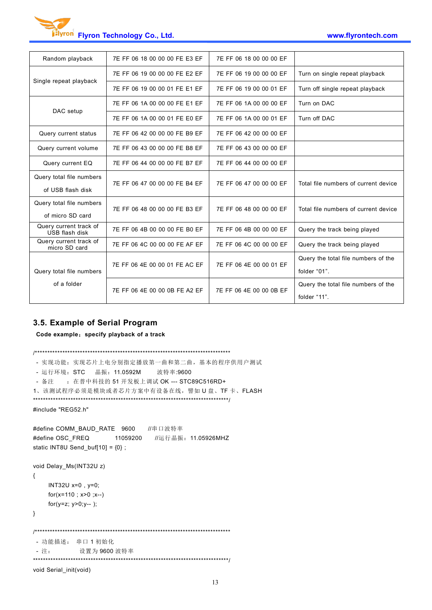| Random playback                          | 7E FF 06 18 00 00 00 FE E3 EF | 7E FF 06 18 00 00 00 EF |                                      |  |
|------------------------------------------|-------------------------------|-------------------------|--------------------------------------|--|
|                                          | 7E FF 06 19 00 00 00 FE E2 EF | 7E FF 06 19 00 00 00 EF | Turn on single repeat playback       |  |
| Single repeat playback                   | 7E FF 06 19 00 00 01 FE E1 EF | 7E FF 06 19 00 00 01 EF | Turn off single repeat playback      |  |
|                                          | 7E FF 06 1A 00 00 00 FE E1 EF | 7E FF 06 1A 00 00 00 EF | Turn on DAC                          |  |
| DAC setup                                | 7E FF 06 1A 00 00 01 FE E0 EF | 7E FF 06 1A 00 00 01 EF | Turn off DAC                         |  |
| Query current status                     | 7E FF 06 42 00 00 00 FE B9 EF | 7E FF 06 42 00 00 00 EF |                                      |  |
| Query current volume                     | 7E FF 06 43 00 00 00 FE B8 EF | 7E FF 06 43 00 00 00 EF |                                      |  |
| Query current EQ                         | 7E FF 06 44 00 00 00 FE B7 EF | 7E FF 06 44 00 00 00 EF |                                      |  |
| Query total file numbers                 | 7E FF 06 47 00 00 00 FE B4 EF | 7E FF 06 47 00 00 00 EF | Total file numbers of current device |  |
| of USB flash disk                        |                               |                         |                                      |  |
| Query total file numbers                 | 7E FF 06 48 00 00 00 FE B3 EF | 7E FF 06 48 00 00 00 EF | Total file numbers of current device |  |
| of micro SD card                         |                               |                         |                                      |  |
| Query current track of<br>USB flash disk | 7E FF 06 4B 00 00 00 FE B0 EF | 7E FF 06 4B 00 00 00 EF | Query the track being played         |  |
| Query current track of<br>micro SD card  | 7E FF 06 4C 00 00 00 FE AF EF | 7E FF 06 4C 00 00 00 EF | Query the track being played         |  |
|                                          |                               |                         | Query the total file numbers of the  |  |
| Query total file numbers                 | 7E FF 06 4E 00 00 01 FE AC EF | 7E FF 06 4E 00 00 01 EF | folder "01".                         |  |
| of a folder                              |                               |                         | Query the total file numbers of the  |  |
|                                          | 7E FF 06 4E 00 00 0B FE A2 EF | 7E FF 06 4E 00 00 0B EF | folder "11".                         |  |
|                                          |                               |                         |                                      |  |

#### **3.5. Example of Serial Program**

**Code example**:**specify playback of a track**

/\*\*\*\*\*\*\*\*\*\*\*\*\*\*\*\*\*\*\*\*\*\*\*\*\*\*\*\*\*\*\*\*\*\*\*\*\*\*\*\*\*\*\*\*\*\*\*\*\*\*\*\*\*\*\*\*\*\*\*\*\*\*\*\*\*\*\*\*\*\*\*\*\*\*\*\*\*\*

```
- 实现功能:实现芯片上电分别指定播放第一曲和第二曲,基本的程序供用户测试
- 运行环境: STC 晶振: 11.0592M 波特率:9600
- 备注 : 在普中科技的 51 开发板上调试 OK --- STC89C516RD+
1、该测试程序必须是模块或者芯片方案中有设备在线,譬如 U 盘、TF 卡、FLASH
******************************************************************************/
#include "REG52.h"
#define COMM_BAUD_RATE 9600 //串口波特率
#define OSC_FREQ 11059200 //运行晶振: 11.05926MHZ
static INT8U Send_buf[10] = {0} ;
void Delay_Ms(INT32U z)
{
    INT32U x=0 , y=0;
    for(x=110 ; x>0 ;x--)
    for(y=z; y>0;y-- );
}
/******************************************************************************
- 功能描述: 串口 1 初始化
- 注: 设置为 9600 波特率
******************************************************************************/
void Serial_init(void)
```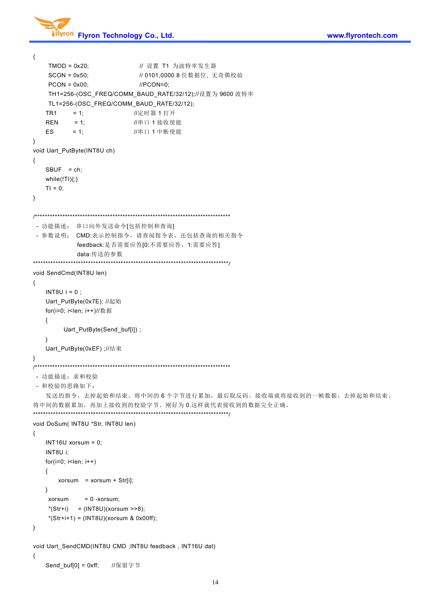

```
{
   TMOD = 0x20; <br> // 设置 T1 为波特率发生器
   SCON = 0x50; \frac{1}{10} 0101,0000 8 位数据位, 无奇偶校验
   PCON = 0x00; //PCON=0;
   TH1=256-(OSC_FREQ/COMM_BAUD_RATE/32/12);//设置为 9600 波特率
   TL1=256-(OSC_FREQ/COMM_BAUD_RATE/32/12);
   TR1 = 1; 1/\bar{x} = 1; 1/\bar{x} = 1; 1/\bar{x}REN = 1; //串口 1 接收使能
   ES = 1; //串口 1 中断使能
}
void Uart_PutByte(INT8U ch)
{
   SBUF = ch;while(!TI){;}
   TI = 0;
}
/******************************************************************************
- 功能描述: 串口向外发送命令[包括控制和查询] - 参数说明: CMD:表示控制指令,请查阅指令表,还包括查询的相关指令
           feedback:是否需要应答[0:不需要应答,1:需要应答]
           data:传送的参数
******************************************************************************/
void SendCmd(INT8U len)
{
   INT8U i = 0;
   Uart_PutByte(0x7E); //起始
   for(i=0; i<len; i++)//数据
   {
        Uart_PutByte(Send_buf[i]) ;
   }
   Uart_PutByte(0xEF) ;//结束
}
/******************************************************************************
- 功能描述:求和校验
- 和校验的思路如下:
   发送的指令,去掉起始和结束。将中间的6个字节进行累加,最后取反码。接收端就将接收到的一帧数据,去掉起始和结束。
将中间的数据累加,再加上接收到的校验字节。刚好为 0.这样就代表接收到的数据完全正确。
******************************************************************************/
void DoSum( INT8U *Str, INT8U len)
{
   INT16U xorsum = 0;
   INT8U i;
   for(i=0; i<len; i++)
   { xorsum = xorsum + Str[i]:
   } xorsum = 0 -xorsum;
   *(Str + i) = (INT8U)(xorsum \n~>> 8);*(Str+i+1) = (INT8U)(xorsum & 0x00ff);}
void Uart_SendCMD(INT8U CMD ,INT8U feedback , INT16U dat)
{
   Send_buf[0] = 0xff; //保留字节
```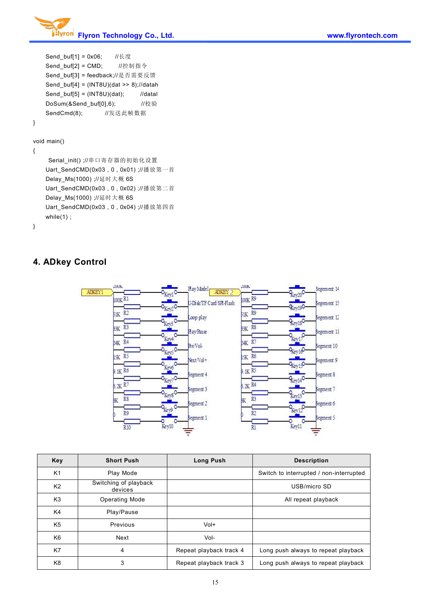

```
Send_buf[1] = 0x06; //长度
   Send_buf[2] = CMD; //控制指令
   Send_buf[3] = feedback;//是否需要反馈
   Send_buf[4] = (INT8U)(dat >> 8);//datah
   Send_buf[5] = (INT8U)(dat); //datal
   DoSum(&Send_buf[0],6); //校验
   SendCmd(8); //发送此帧数据
}
```
#### void main()

```
{
```
Serial\_init() ;//串口寄存器的初始化设置 Uart\_SendCMD(0x03 , 0 , 0x01) ;//播放第一首 Delay\_Ms(1000) ;//延时大概 6S Uart\_SendCMD(0x03 , 0 , 0x02) ;//播放第二首 Delay\_Ms(1000) ;//延时大概 6S Uart\_SendCMD(0x03 , 0 , 0x04) ;//播放第四首 while(1) ;

```
}
```
## **4. ADkey Control**



| Key            | <b>Short Push</b>                | <b>Long Push</b>        | <b>Description</b>                      |
|----------------|----------------------------------|-------------------------|-----------------------------------------|
| K <sub>1</sub> | Play Mode                        |                         | Switch to interrupted / non-interrupted |
| K <sub>2</sub> | Switching of playback<br>devices |                         | USB/micro SD                            |
| K <sub>3</sub> | <b>Operating Mode</b>            |                         | All repeat playback                     |
| K4             | Play/Pause                       |                         |                                         |
| K <sub>5</sub> | Previous                         | $Vol+$                  |                                         |
| K <sub>6</sub> | Next                             | Vol-                    |                                         |
| K7             | 4                                | Repeat playback track 4 | Long push always to repeat playback     |
| K <sub>8</sub> | 3                                | Repeat playback track 3 | Long push always to repeat playback     |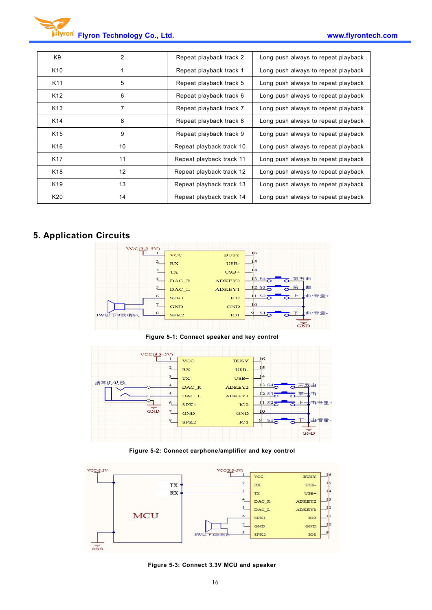| K9              | 2  | Repeat playback track 2  | Long push always to repeat playback |
|-----------------|----|--------------------------|-------------------------------------|
| K <sub>10</sub> |    | Repeat playback track 1  | Long push always to repeat playback |
| K11             | 5  | Repeat playback track 5  | Long push always to repeat playback |
| K <sub>12</sub> | 6  | Repeat playback track 6  | Long push always to repeat playback |
| K <sub>13</sub> | 7  | Repeat playback track 7  | Long push always to repeat playback |
| K14             | 8  | Repeat playback track 8  | Long push always to repeat playback |
| K <sub>15</sub> | 9  | Repeat playback track 9  | Long push always to repeat playback |
| K <sub>16</sub> | 10 | Repeat playback track 10 | Long push always to repeat playback |
| K <sub>17</sub> | 11 | Repeat playback track 11 | Long push always to repeat playback |
| K <sub>18</sub> | 12 | Repeat playback track 12 | Long push always to repeat playback |
| K <sub>19</sub> | 13 | Repeat playback track 13 | Long push always to repeat playback |
| K20             | 14 | Repeat playback track 14 | Long push always to repeat playback |

# **5. Application Circuits**



**Figure 5-1: Connect speaker and key control**



**Figure 5-2: Connect earphone/amplifier and key control**



**Figure 5-3: Connect 3.3V MCU and speaker**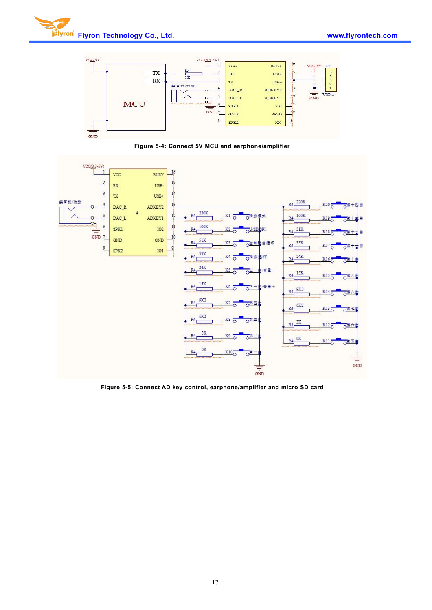



**Figure 5-4: Connect 5V MCU andearphone/amplifier**



**Figure 5-5: Connect AD key control, earphone/amplifier and micro SD card**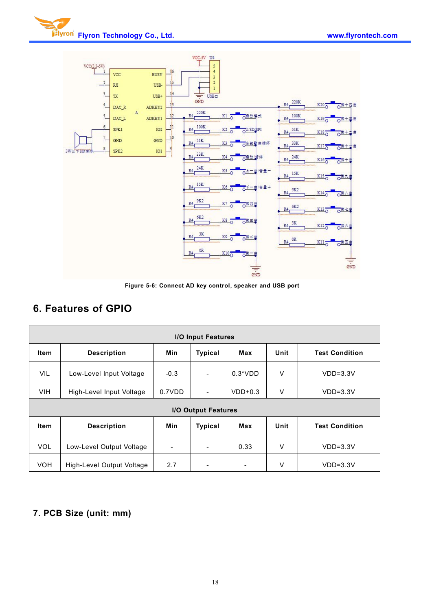



**Figure 5-6: Connect AD key control, speaker and USB port**

# **6. Features of GPIO**

| I/O Input Features         |                          |                          |                          |           |      |                       |  |
|----------------------------|--------------------------|--------------------------|--------------------------|-----------|------|-----------------------|--|
| <b>Item</b>                | <b>Description</b>       | Min                      | <b>Typical</b>           | Max       | Unit | <b>Test Condition</b> |  |
| VIL                        | Low-Level Input Voltage  |                          | $\overline{\phantom{a}}$ | $0.3*VDD$ | V    | $VDD=3.3V$            |  |
| <b>VIH</b>                 | High-Level Input Voltage |                          | $\overline{\phantom{a}}$ | $VDD+0.3$ | V    | $VDD=3.3V$            |  |
| <b>I/O Output Features</b> |                          |                          |                          |           |      |                       |  |
| <b>Item</b>                |                          |                          |                          |           |      |                       |  |
|                            | <b>Description</b>       | <b>Min</b>               | <b>Typical</b>           | Max       | Unit | <b>Test Condition</b> |  |
| <b>VOL</b>                 | Low-Level Output Voltage | $\overline{\phantom{0}}$ | $\overline{\phantom{a}}$ | 0.33      | ٧    | $VDD=3.3V$            |  |

# **7. PCB Size (unit: mm)**